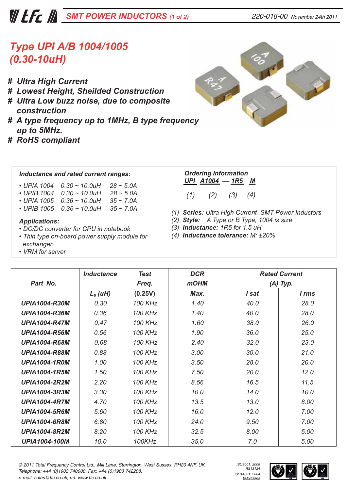## *© 2011 Total Frequency Control Ltd., Mill Lane, Storrington, West Sussex, RH20 4NF, UK Telephone: +44 (0)1903 740000, Fax: +44 (0)1903 742208,*

# *SMT POWER INDUCTORS (1 of 2) 220-018-00 November 24th 2011*

# *Type UPI A/B 1004/1005 (0.30-10uH)*

- *# Ultra High Current*
- *# Lowest Height, Sheilded Construction*
- *# Ultra Low buzz noise, due to composite construction*
- *# A type frequency up to 1MHz, B type frequency cy up to 5MHz.*
- *# RoHS compliant*

### *Inductance and rated current ranges:*

- *UPIA 1004 0.30 ~ 10.0uH 28 ~ 5.0A*
- *UPIB 1004 0.30 ~ 10.0uH 28 ~ 5.0A*
- *UPIA 1005 0.36 ~ 10.0uH 35 ~ 7.0A*
- *UPIB 1005 0.36 ~ 10.0uH 35 ~ 7.0A*

#### *Applications:*

- *DC/DC converter for CPU in notebook*
- *Thin type on-board power supply module for exchanger*
- *VRM for server*

# *Ordering Information*

*UPI A1004 1R5 M (1) (2) (3) (4)*

*(1) Series: Ultra High Current SMT Power Inductors*

*ISO9001: 2008 RS13124 ISO14001: 2004 EMS53965*

- *(2) Style: A Type or B Type, 1004 is size*
- *(3) Inductance: 1R5 for 1.5 uH*
- *(4) Inductance tolerance: M: ±20%*

|                      | <b>Inductance</b> | <b>Test</b>    | <b>DCR</b>  | <b>Rated Current</b><br>$(A)$ Typ. |       |
|----------------------|-------------------|----------------|-------------|------------------------------------|-------|
| Part No.             |                   | Freq.          | <b>mOHM</b> |                                    |       |
|                      | $L_0(uH)$         | (0.25V)        | Max.        | I sat                              | l rms |
| <b>UPIA1004-R30M</b> | 0.30              | 100 KHz        | 1.40        | 40.0                               | 28.0  |
| <b>UPIA1004-R36M</b> | 0.36              | <b>100 KHz</b> | 1.40        | 40.0                               | 28.0  |
| <b>UPIA1004-R47M</b> | 0.47              | 100 KHz        | 1.60        | 38.0                               | 26.0  |
| <b>UPIA1004-R56M</b> | 0.56              | <b>100 KHz</b> | 1.90        | 36.0                               | 25.0  |
| <b>UPIA1004-R68M</b> | 0.68              | 100 KHz        | 2.40        | 32.0                               | 23.0  |
| <b>UPIA1004-R88M</b> | 0.88              | <b>100 KHz</b> | 3.00        | 30.0                               | 21.0  |
| <b>UPIA1004-1R0M</b> | 1.00              | 100 KHz        | 3.50        | 28.0                               | 20.0  |
| <b>UPIA1004-1R5M</b> | 1.50              | <b>100 KHz</b> | 7.50        | 20.0                               | 12.0  |
| <b>UPIA1004-2R2M</b> | 2.20              | 100 KHz        | 8.56        | 16.5                               | 11.5  |
| <b>UPIA1004-3R3M</b> | 3.30              | <b>100 KHz</b> | 10.0        | 14.0                               | 10.0  |
| <b>UPIA1004-4R7M</b> | 4.70              | 100 KHz        | 13.5        | 13.0                               | 8.00  |
| <b>UPIA1004-5R6M</b> | 5.60              | 100 KHz        | 16.0        | 12.0                               | 7.00  |
| <b>UPIA1004-6R8M</b> | 6.80              | 100 KHz        | 24.0        | 9.50                               | 7.00  |
| <b>UPIA1004-8R2M</b> | 8.20              | 100 KHz        | 32.5        | 8.00                               | 5.00  |
| <b>UPIA1004-100M</b> | 10.0              | 100KHz         | 35.0        | 7.0                                | 5.00  |